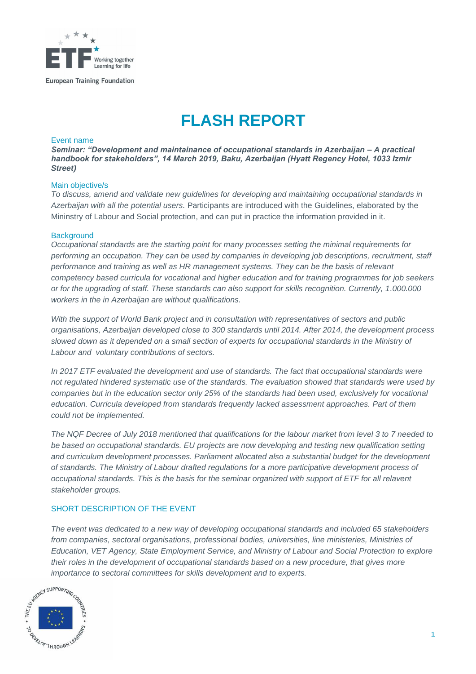

**European Training Foundation** 

# **FLASH REPORT**

#### Event name

*Seminar: "Development and maintainance of occupational standards in Azerbaijan – A practical handbook for stakeholders", 14 March 2019, Baku, Azerbaijan (Hyatt Regency Hotel, 1033 Izmir Street)*

#### Main objective/s

*To discuss, amend and validate new guidelines for developing and maintaining occupational standards in Azerbaijan with all the potential users.* Participants are introduced with the Guidelines, elaborated by the Mininstry of Labour and Social protection, and can put in practice the information provided in it.

#### **Background**

*Occupational standards are the starting point for many processes setting the minimal requirements for performing an occupation. They can be used by companies in developing job descriptions, recruitment, staff performance and training as well as HR management systems. They can be the basis of relevant competency based curricula for vocational and higher education and for training programmes for job seekers or for the upgrading of staff. These standards can also support for skills recognition. Currently, 1.000.000 workers in the in Azerbaijan are without qualifications.*

*With the support of World Bank project and in consultation with representatives of sectors and public organisations, Azerbaijan developed close to 300 standards until 2014. After 2014, the development process*  slowed down as it depended on a small section of experts for occupational standards in the Ministry of *Labour and voluntary contributions of sectors.* 

*In 2017 ETF evaluated the development and use of standards. The fact that occupational standards were not regulated hindered systematic use of the standards. The evaluation showed that standards were used by companies but in the education sector only 25% of the standards had been used, exclusively for vocational education. Curricula developed from standards frequently lacked assessment approaches. Part of them could not be implemented.* 

*The NQF Decree of July 2018 mentioned that qualifications for the labour market from level 3 to 7 needed to be based on occupational standards. EU projects are now developing and testing new qualification setting and curriculum development processes. Parliament allocated also a substantial budget for the development of standards. The Ministry of Labour drafted regulations for a more participative development process of occupational standards. This is the basis for the seminar organized with support of ETF for all relavent stakeholder groups.* 

### SHORT DESCRIPTION OF THE EVENT

*The event was dedicated to a new way of developing occupational standards and included 65 stakeholders from companies, sectoral organisations, professional bodies, universities, line ministeries, Ministries of Education, VET Agency, State Employment Service, and Ministry of Labour and Social Protection to explore their roles in the development of occupational standards based on a new procedure, that gives more*